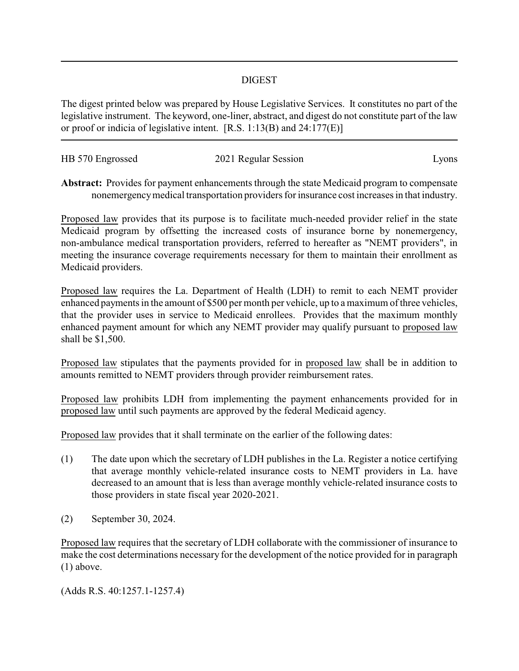## DIGEST

The digest printed below was prepared by House Legislative Services. It constitutes no part of the legislative instrument. The keyword, one-liner, abstract, and digest do not constitute part of the law or proof or indicia of legislative intent. [R.S. 1:13(B) and 24:177(E)]

| HB 570 Engrossed | 2021 Regular Session | LVONS |
|------------------|----------------------|-------|
|                  |                      |       |

**Abstract:** Provides for payment enhancements through the state Medicaid program to compensate nonemergencymedical transportation providers for insurance cost increases in that industry.

Proposed law provides that its purpose is to facilitate much-needed provider relief in the state Medicaid program by offsetting the increased costs of insurance borne by nonemergency, non-ambulance medical transportation providers, referred to hereafter as "NEMT providers", in meeting the insurance coverage requirements necessary for them to maintain their enrollment as Medicaid providers.

Proposed law requires the La. Department of Health (LDH) to remit to each NEMT provider enhanced payments in the amount of \$500 per month per vehicle, up to a maximum of three vehicles, that the provider uses in service to Medicaid enrollees. Provides that the maximum monthly enhanced payment amount for which any NEMT provider may qualify pursuant to proposed law shall be \$1,500.

Proposed law stipulates that the payments provided for in proposed law shall be in addition to amounts remitted to NEMT providers through provider reimbursement rates.

Proposed law prohibits LDH from implementing the payment enhancements provided for in proposed law until such payments are approved by the federal Medicaid agency.

Proposed law provides that it shall terminate on the earlier of the following dates:

- (1) The date upon which the secretary of LDH publishes in the La. Register a notice certifying that average monthly vehicle-related insurance costs to NEMT providers in La. have decreased to an amount that is less than average monthly vehicle-related insurance costs to those providers in state fiscal year 2020-2021.
- (2) September 30, 2024.

Proposed law requires that the secretary of LDH collaborate with the commissioner of insurance to make the cost determinations necessary for the development of the notice provided for in paragraph (1) above.

(Adds R.S. 40:1257.1-1257.4)